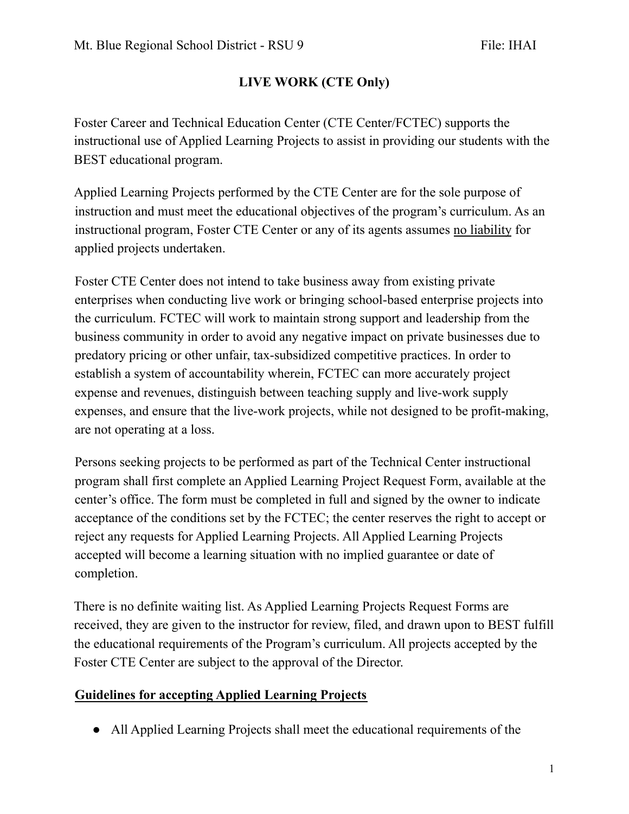## **LIVE WORK (CTE Only)**

Foster Career and Technical Education Center (CTE Center/FCTEC) supports the instructional use of Applied Learning Projects to assist in providing our students with the BEST educational program.

Applied Learning Projects performed by the CTE Center are for the sole purpose of instruction and must meet the educational objectives of the program's curriculum. As an instructional program, Foster CTE Center or any of its agents assumes no liability for applied projects undertaken.

Foster CTE Center does not intend to take business away from existing private enterprises when conducting live work or bringing school-based enterprise projects into the curriculum. FCTEC will work to maintain strong support and leadership from the business community in order to avoid any negative impact on private businesses due to predatory pricing or other unfair, tax-subsidized competitive practices. In order to establish a system of accountability wherein, FCTEC can more accurately project expense and revenues, distinguish between teaching supply and live-work supply expenses, and ensure that the live-work projects, while not designed to be profit-making, are not operating at a loss.

Persons seeking projects to be performed as part of the Technical Center instructional program shall first complete an Applied Learning Project Request Form, available at the center's office. The form must be completed in full and signed by the owner to indicate acceptance of the conditions set by the FCTEC; the center reserves the right to accept or reject any requests for Applied Learning Projects. All Applied Learning Projects accepted will become a learning situation with no implied guarantee or date of completion.

There is no definite waiting list. As Applied Learning Projects Request Forms are received, they are given to the instructor for review, filed, and drawn upon to BEST fulfill the educational requirements of the Program's curriculum. All projects accepted by the Foster CTE Center are subject to the approval of the Director.

#### **Guidelines for accepting Applied Learning Projects**

● All Applied Learning Projects shall meet the educational requirements of the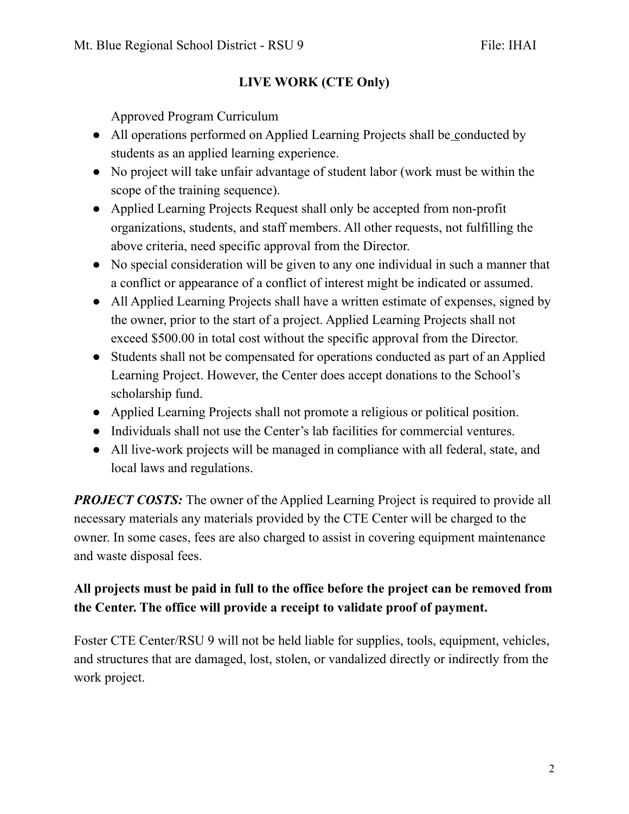### **LIVE WORK (CTE Only)**

Approved Program Curriculum

- All operations performed on Applied Learning Projects shall be conducted by students as an applied learning experience.
- No project will take unfair advantage of student labor (work must be within the scope of the training sequence).
- Applied Learning Projects Request shall only be accepted from non-profit organizations, students, and staff members. All other requests, not fulfilling the above criteria, need specific approval from the Director.
- No special consideration will be given to any one individual in such a manner that a conflict or appearance of a conflict of interest might be indicated or assumed.
- All Applied Learning Projects shall have a written estimate of expenses, signed by the owner, prior to the start of a project. Applied Learning Projects shall not exceed \$500.00 in total cost without the specific approval from the Director.
- Students shall not be compensated for operations conducted as part of an Applied Learning Project. However, the Center does accept donations to the School's scholarship fund.
- Applied Learning Projects shall not promote a religious or political position.
- Individuals shall not use the Center's lab facilities for commercial ventures.
- All live-work projects will be managed in compliance with all federal, state, and local laws and regulations.

*PROJECT COSTS:* The owner of the Applied Learning Project is required to provide all necessary materials any materials provided by the CTE Center will be charged to the owner. In some cases, fees are also charged to assist in covering equipment maintenance and waste disposal fees.

# **All projects must be paid in full to the office before the project can be removed from the Center. The office will provide a receipt to validate proof of payment.**

Foster CTE Center/RSU 9 will not be held liable for supplies, tools, equipment, vehicles, and structures that are damaged, lost, stolen, or vandalized directly or indirectly from the work project.